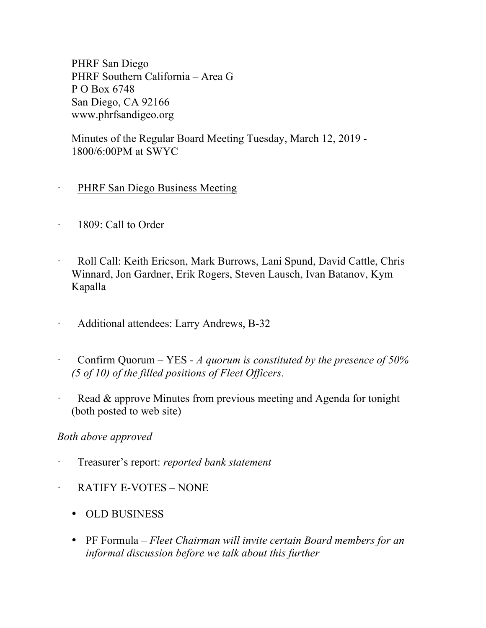PHRF San Diego PHRF Southern California – Area G P O Box 6748 San Diego, CA 92166 www.phrfsandigeo.org

Minutes of the Regular Board Meeting Tuesday, March 12, 2019 - 1800/6:00PM at SWYC

- PHRF San Diego Business Meeting
- · 1809: Call to Order
- · Roll Call: Keith Ericson, Mark Burrows, Lani Spund, David Cattle, Chris Winnard, Jon Gardner, Erik Rogers, Steven Lausch, Ivan Batanov, Kym Kapalla
- · Additional attendees: Larry Andrews, B-32
- · Confirm Quorum YES *A quorum is constituted by the presence of 50% (5 of 10) of the filled positions of Fleet Officers.*
- Read & approve Minutes from previous meeting and Agenda for tonight (both posted to web site)

## *Both above approved*

- · Treasurer's report: *reported bank statement*
- · RATIFY E-VOTES NONE
	- OLD BUSINESS
	- PF Formula *Fleet Chairman will invite certain Board members for an informal discussion before we talk about this further*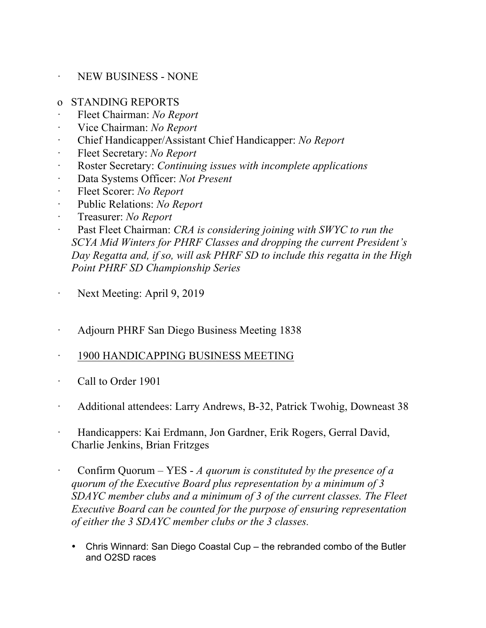## · NEW BUSINESS - NONE

- o STANDING REPORTS
- · Fleet Chairman: *No Report*
- · Vice Chairman: *No Report*
- · Chief Handicapper/Assistant Chief Handicapper: *No Report*
- Fleet Secretary: *No Report*
- · Roster Secretary: *Continuing issues with incomplete applications*
- · Data Systems Officer: *Not Present*
- · Fleet Scorer: *No Report*
- Public Relations: *No Report*
- · Treasurer: *No Report*
- Past Fleet Chairman: *CRA is considering joining with SWYC to run the SCYA Mid Winters for PHRF Classes and dropping the current President's Day Regatta and, if so, will ask PHRF SD to include this regatta in the High Point PHRF SD Championship Series*
- Next Meeting: April 9, 2019
- · Adjourn PHRF San Diego Business Meeting 1838
- · 1900 HANDICAPPING BUSINESS MEETING
- · Call to Order 1901
- Additional attendees: Larry Andrews, B-32, Patrick Twohig, Downeast 38
- · Handicappers: Kai Erdmann, Jon Gardner, Erik Rogers, Gerral David, Charlie Jenkins, Brian Fritzges
- · Confirm Quorum YES *A quorum is constituted by the presence of a quorum of the Executive Board plus representation by a minimum of 3 SDAYC member clubs and a minimum of 3 of the current classes. The Fleet Executive Board can be counted for the purpose of ensuring representation of either the 3 SDAYC member clubs or the 3 classes.*
	- Chris Winnard: San Diego Coastal Cup the rebranded combo of the Butler and O2SD races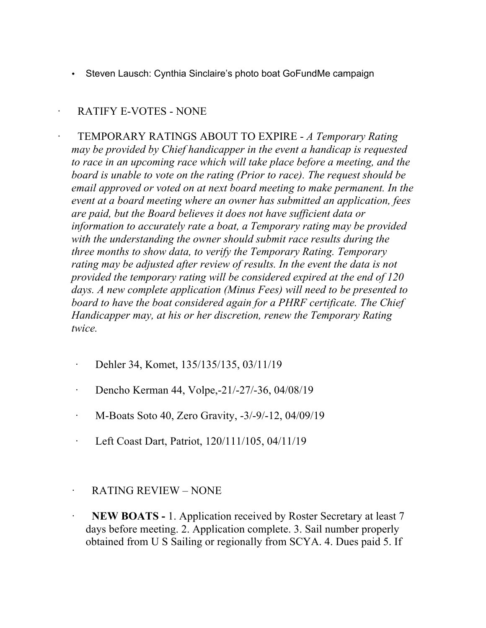• Steven Lausch: Cynthia Sinclaire's photo boat GoFundMe campaign

## · RATIFY E-VOTES - NONE

· TEMPORARY RATINGS ABOUT TO EXPIRE - *A Temporary Rating may be provided by Chief handicapper in the event a handicap is requested to race in an upcoming race which will take place before a meeting, and the board is unable to vote on the rating (Prior to race). The request should be email approved or voted on at next board meeting to make permanent. In the event at a board meeting where an owner has submitted an application, fees are paid, but the Board believes it does not have sufficient data or information to accurately rate a boat, a Temporary rating may be provided with the understanding the owner should submit race results during the three months to show data, to verify the Temporary Rating. Temporary*  rating may be adjusted after review of results. In the event the data is not *provided the temporary rating will be considered expired at the end of 120 days. A new complete application (Minus Fees) will need to be presented to board to have the boat considered again for a PHRF certificate. The Chief Handicapper may, at his or her discretion, renew the Temporary Rating twice.*

- · Dehler 34, Komet, 135/135/135, 03/11/19
- · Dencho Kerman 44, Volpe,-21/-27/-36, 04/08/19
- · M-Boats Soto 40, Zero Gravity, -3/-9/-12, 04/09/19
- · Left Coast Dart, Patriot, 120/111/105, 04/11/19
- · RATING REVIEW NONE
- **NEW BOATS -** 1. Application received by Roster Secretary at least 7 days before meeting. 2. Application complete. 3. Sail number properly obtained from U S Sailing or regionally from SCYA. 4. Dues paid 5. If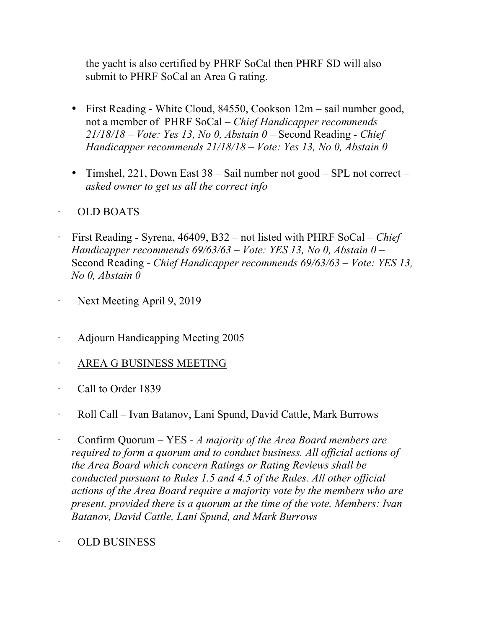the yacht is also certified by PHRF SoCal then PHRF SD will also submit to PHRF SoCal an Area G rating.

- First Reading White Cloud, 84550, Cookson 12m sail number good, not a member of PHRF SoCal – *Chief Handicapper recommends 21/18/18 – Vote: Yes 13, No 0, Abstain 0 –* Second Reading *- Chief Handicapper recommends 21/18/18 – Vote: Yes 13, No 0, Abstain 0*
- Timshel, 221, Down East 38 Sail number not good SPL not correct *asked owner to get us all the correct info*

## · OLD BOATS

- · First Reading Syrena, 46409, B32 not listed with PHRF SoCal *– Chief Handicapper recommends 69/63/63 – Vote: YES 13, No 0, Abstain 0* – Second Reading - *Chief Handicapper recommends 69/63/63 – Vote: YES 13, No 0, Abstain 0*
- Next Meeting April 9, 2019
- · Adjourn Handicapping Meeting 2005
- · AREA G BUSINESS MEETING
- Call to Order 1839
- · Roll Call Ivan Batanov, Lani Spund, David Cattle, Mark Burrows
- · Confirm Quorum YES *A majority of the Area Board members are required to form a quorum and to conduct business. All official actions of the Area Board which concern Ratings or Rating Reviews shall be conducted pursuant to Rules 1.5 and 4.5 of the Rules. All other official actions of the Area Board require a majority vote by the members who are present, provided there is a quorum at the time of the vote. Members: Ivan Batanov, David Cattle, Lani Spund, and Mark Burrows*
	- · OLD BUSINESS